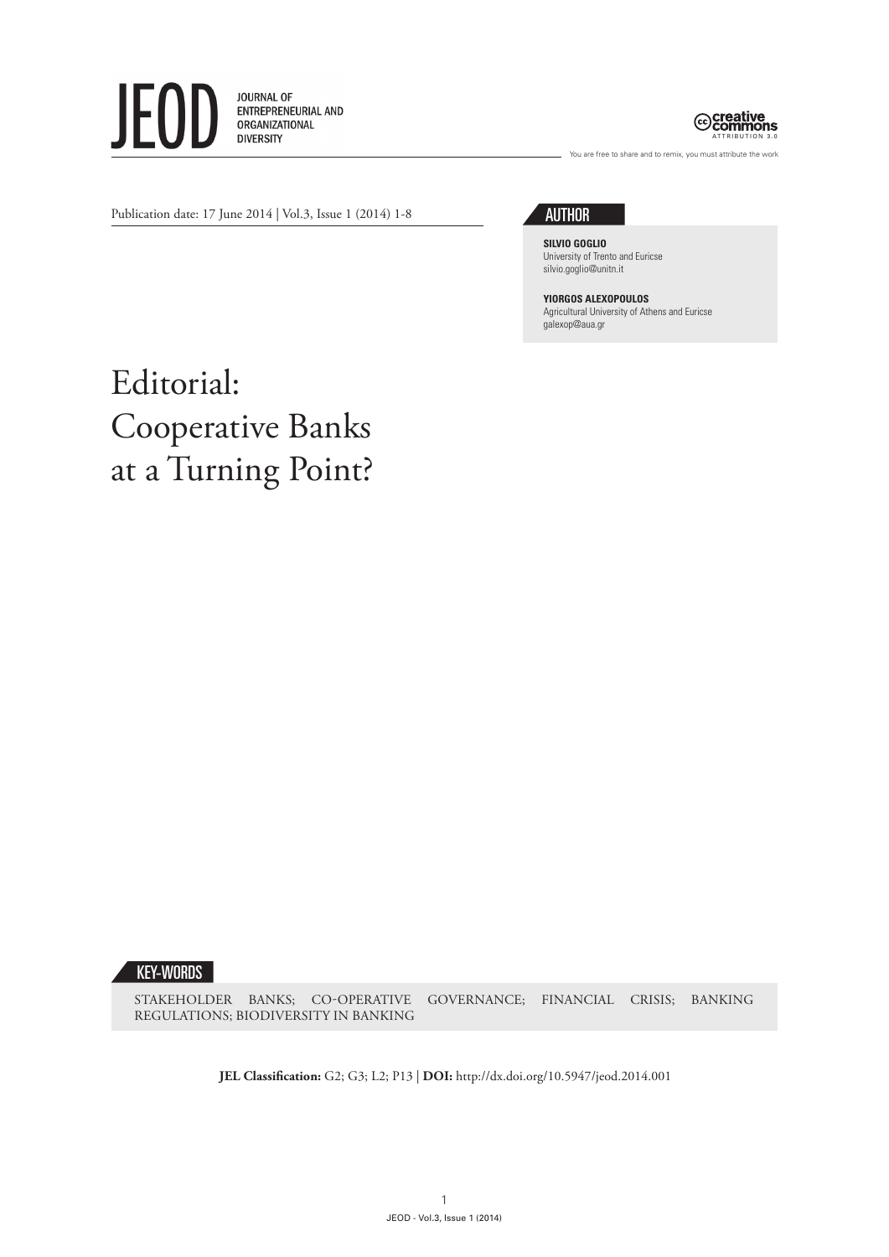



You are free to share and to remix, you must attribute the work

Publication date: 17 June 2014 | Vol.3, Issue 1 (2014) 1-8

## **AUTHOR**

**SILVIO GOGLIO** University of Trento and Euricse silvio.goglio@unitn.it

**YIORGOS ALEXOPOULOS** Agricultural University of Athens and Euricse galexop@aua.gr

## Editorial: Cooperative Banks at a Turning Point?

KEY-WORDS

STAKEHOLDER BANKS; CO-OPERATIVE GOVERNANCE; FINANCIAL CRISIS; BANKING REGULATIONS; BIODIVERSITY IN BANKING

**JEL Classification:** G2; G3; L2; P13 | **DOI:** http://dx.doi.org/10.5947/jeod.2014.001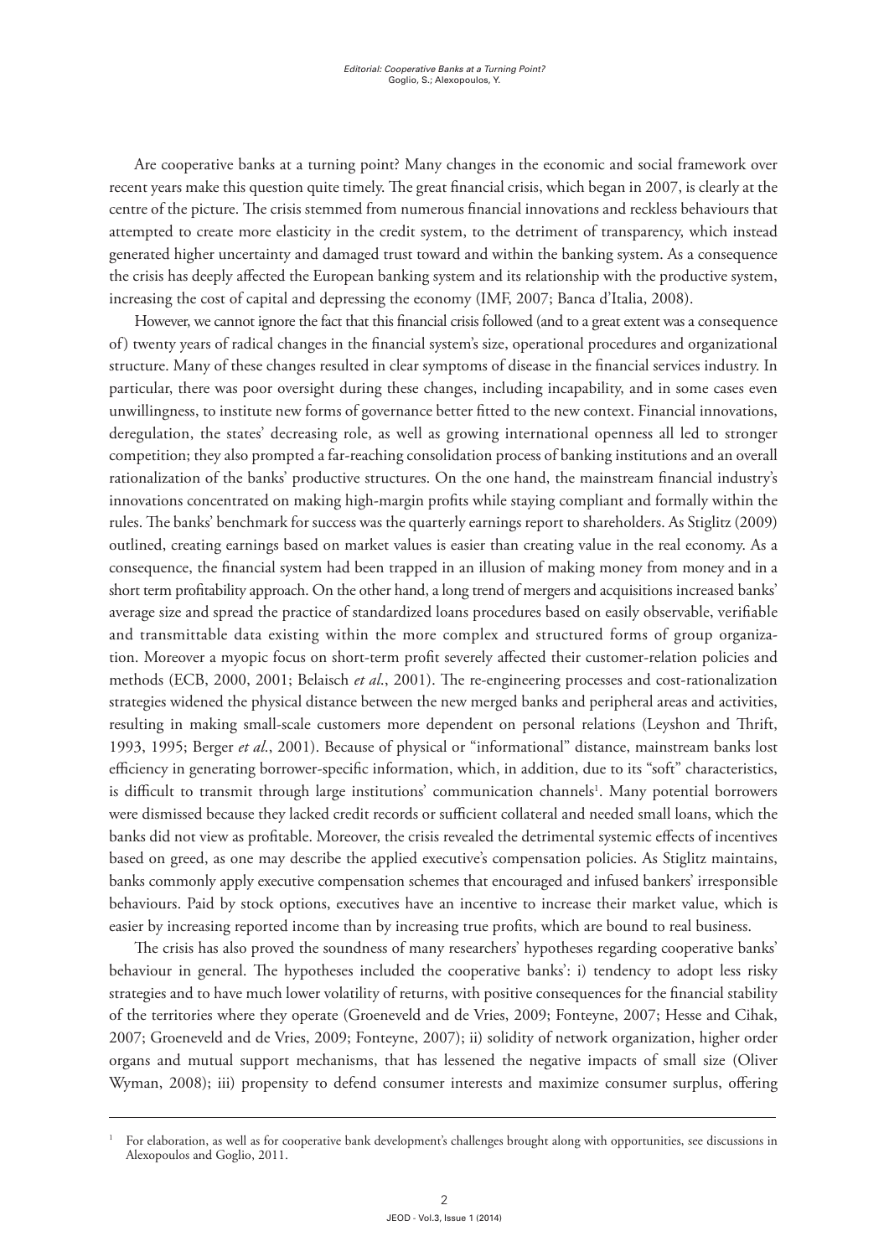Are cooperative banks at a turning point? Many changes in the economic and social framework over recent years make this question quite timely. The great financial crisis, which began in 2007, is clearly at the centre of the picture. The crisis stemmed from numerous financial innovations and reckless behaviours that attempted to create more elasticity in the credit system, to the detriment of transparency, which instead generated higher uncertainty and damaged trust toward and within the banking system. As a consequence the crisis has deeply affected the European banking system and its relationship with the productive system, increasing the cost of capital and depressing the economy (IMF, 2007; Banca d'Italia, 2008).

However, we cannot ignore the fact that this financial crisis followed (and to a great extent was a consequence of) twenty years of radical changes in the financial system's size, operational procedures and organizational structure. Many of these changes resulted in clear symptoms of disease in the financial services industry. In particular, there was poor oversight during these changes, including incapability, and in some cases even unwillingness, to institute new forms of governance better fitted to the new context. Financial innovations, deregulation, the states' decreasing role, as well as growing international openness all led to stronger competition; they also prompted a far-reaching consolidation process of banking institutions and an overall rationalization of the banks' productive structures. On the one hand, the mainstream financial industry's innovations concentrated on making high-margin profits while staying compliant and formally within the rules. The banks' benchmark for success was the quarterly earnings report to shareholders. As Stiglitz (2009) outlined, creating earnings based on market values is easier than creating value in the real economy. As a consequence, the financial system had been trapped in an illusion of making money from money and in a short term profitability approach. On the other hand, a long trend of mergers and acquisitions increased banks' average size and spread the practice of standardized loans procedures based on easily observable, verifiable and transmittable data existing within the more complex and structured forms of group organization. Moreover a myopic focus on short-term profit severely affected their customer-relation policies and methods (ECB, 2000, 2001; Belaisch *et al*., 2001). The re-engineering processes and cost-rationalization strategies widened the physical distance between the new merged banks and peripheral areas and activities, resulting in making small-scale customers more dependent on personal relations (Leyshon and Thrift, 1993, 1995; Berger *et al*., 2001). Because of physical or "informational" distance, mainstream banks lost efficiency in generating borrower-specific information, which, in addition, due to its "soft" characteristics, is difficult to transmit through large institutions' communication channels<sup>1</sup>. Many potential borrowers were dismissed because they lacked credit records or sufficient collateral and needed small loans, which the banks did not view as profitable. Moreover, the crisis revealed the detrimental systemic effects of incentives based on greed, as one may describe the applied executive's compensation policies. As Stiglitz maintains, banks commonly apply executive compensation schemes that encouraged and infused bankers' irresponsible behaviours. Paid by stock options, executives have an incentive to increase their market value, which is easier by increasing reported income than by increasing true profits, which are bound to real business.

The crisis has also proved the soundness of many researchers' hypotheses regarding cooperative banks' behaviour in general. The hypotheses included the cooperative banks': i) tendency to adopt less risky strategies and to have much lower volatility of returns, with positive consequences for the financial stability of the territories where they operate (Groeneveld and de Vries, 2009; Fonteyne, 2007; Hesse and Cihak, 2007; Groeneveld and de Vries, 2009; Fonteyne, 2007); ii) solidity of network organization, higher order organs and mutual support mechanisms, that has lessened the negative impacts of small size (Oliver Wyman, 2008); iii) propensity to defend consumer interests and maximize consumer surplus, offering

<sup>1</sup> For elaboration, as well as for cooperative bank development's challenges brought along with opportunities, see discussions in Alexopoulos and Goglio, 2011.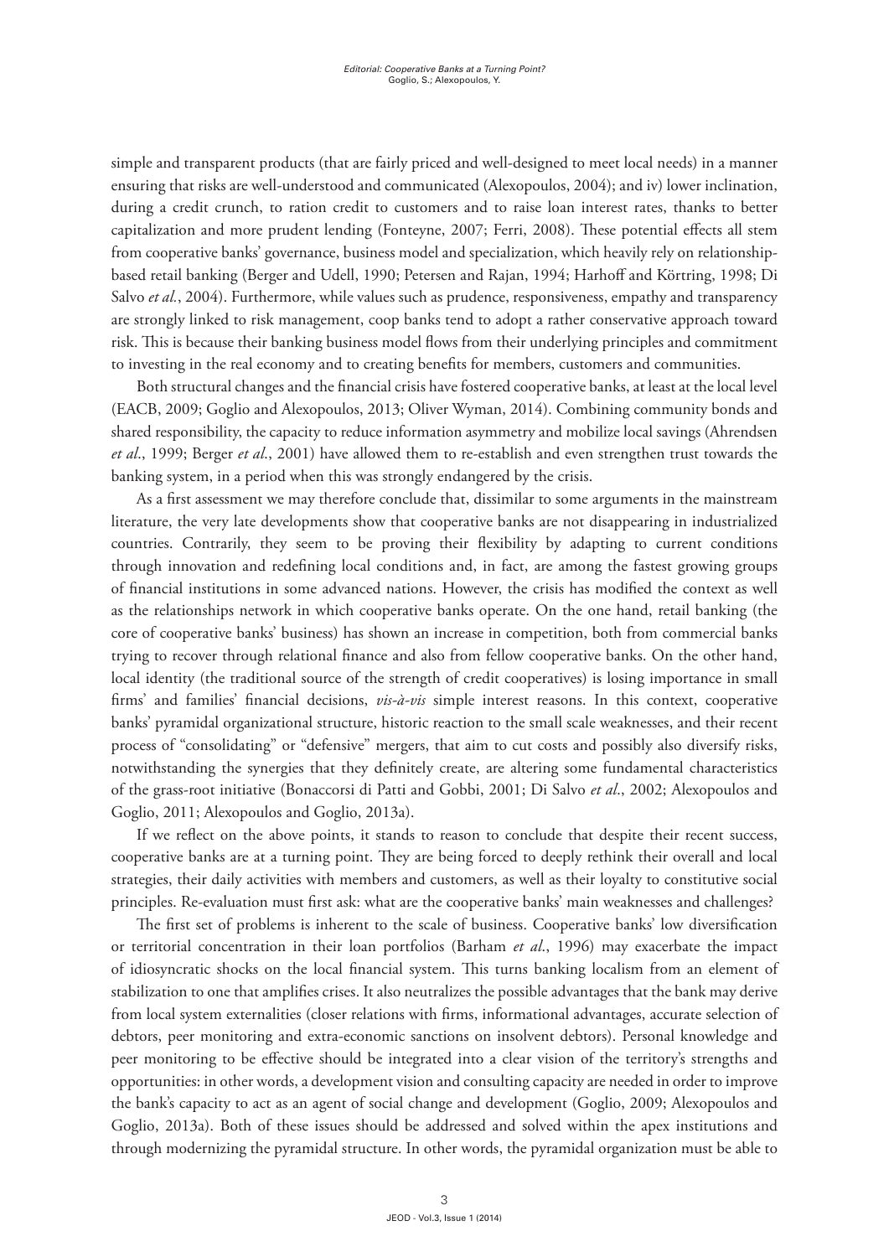simple and transparent products (that are fairly priced and well-designed to meet local needs) in a manner ensuring that risks are well-understood and communicated (Alexopoulos, 2004); and iv) lower inclination, during a credit crunch, to ration credit to customers and to raise loan interest rates, thanks to better capitalization and more prudent lending (Fonteyne, 2007; Ferri, 2008). These potential effects all stem from cooperative banks' governance, business model and specialization, which heavily rely on relationshipbased retail banking (Berger and Udell, 1990; Petersen and Rajan, 1994; Harhoff and Körtring, 1998; Di Salvo *et al.*, 2004). Furthermore, while values such as prudence, responsiveness, empathy and transparency are strongly linked to risk management, coop banks tend to adopt a rather conservative approach toward risk. This is because their banking business model flows from their underlying principles and commitment to investing in the real economy and to creating benefits for members, customers and communities.

Both structural changes and the financial crisis have fostered cooperative banks, at least at the local level (EACB, 2009; Goglio and Alexopoulos, 2013; Oliver Wyman, 2014). Combining community bonds and shared responsibility, the capacity to reduce information asymmetry and mobilize local savings (Ahrendsen *et al*., 1999; Berger *et al*., 2001) have allowed them to re-establish and even strengthen trust towards the banking system, in a period when this was strongly endangered by the crisis.

As a first assessment we may therefore conclude that, dissimilar to some arguments in the mainstream literature, the very late developments show that cooperative banks are not disappearing in industrialized countries. Contrarily, they seem to be proving their flexibility by adapting to current conditions through innovation and redefining local conditions and, in fact, are among the fastest growing groups of financial institutions in some advanced nations. However, the crisis has modified the context as well as the relationships network in which cooperative banks operate. On the one hand, retail banking (the core of cooperative banks' business) has shown an increase in competition, both from commercial banks trying to recover through relational finance and also from fellow cooperative banks. On the other hand, local identity (the traditional source of the strength of credit cooperatives) is losing importance in small firms' and families' financial decisions, *vis-à-vis* simple interest reasons. In this context, cooperative banks' pyramidal organizational structure, historic reaction to the small scale weaknesses, and their recent process of "consolidating" or "defensive" mergers, that aim to cut costs and possibly also diversify risks, notwithstanding the synergies that they definitely create, are altering some fundamental characteristics of the grass-root initiative (Bonaccorsi di Patti and Gobbi, 2001; Di Salvo *et al*., 2002; Alexopoulos and Goglio, 2011; Alexopoulos and Goglio, 2013a).

If we reflect on the above points, it stands to reason to conclude that despite their recent success, cooperative banks are at a turning point. They are being forced to deeply rethink their overall and local strategies, their daily activities with members and customers, as well as their loyalty to constitutive social principles. Re-evaluation must first ask: what are the cooperative banks' main weaknesses and challenges?

The first set of problems is inherent to the scale of business. Cooperative banks' low diversification or territorial concentration in their loan portfolios (Barham *et al*., 1996) may exacerbate the impact of idiosyncratic shocks on the local financial system. This turns banking localism from an element of stabilization to one that amplifies crises. It also neutralizes the possible advantages that the bank may derive from local system externalities (closer relations with firms, informational advantages, accurate selection of debtors, peer monitoring and extra-economic sanctions on insolvent debtors). Personal knowledge and peer monitoring to be effective should be integrated into a clear vision of the territory's strengths and opportunities: in other words, a development vision and consulting capacity are needed in order to improve the bank's capacity to act as an agent of social change and development (Goglio, 2009; Alexopoulos and Goglio, 2013a). Both of these issues should be addressed and solved within the apex institutions and through modernizing the pyramidal structure. In other words, the pyramidal organization must be able to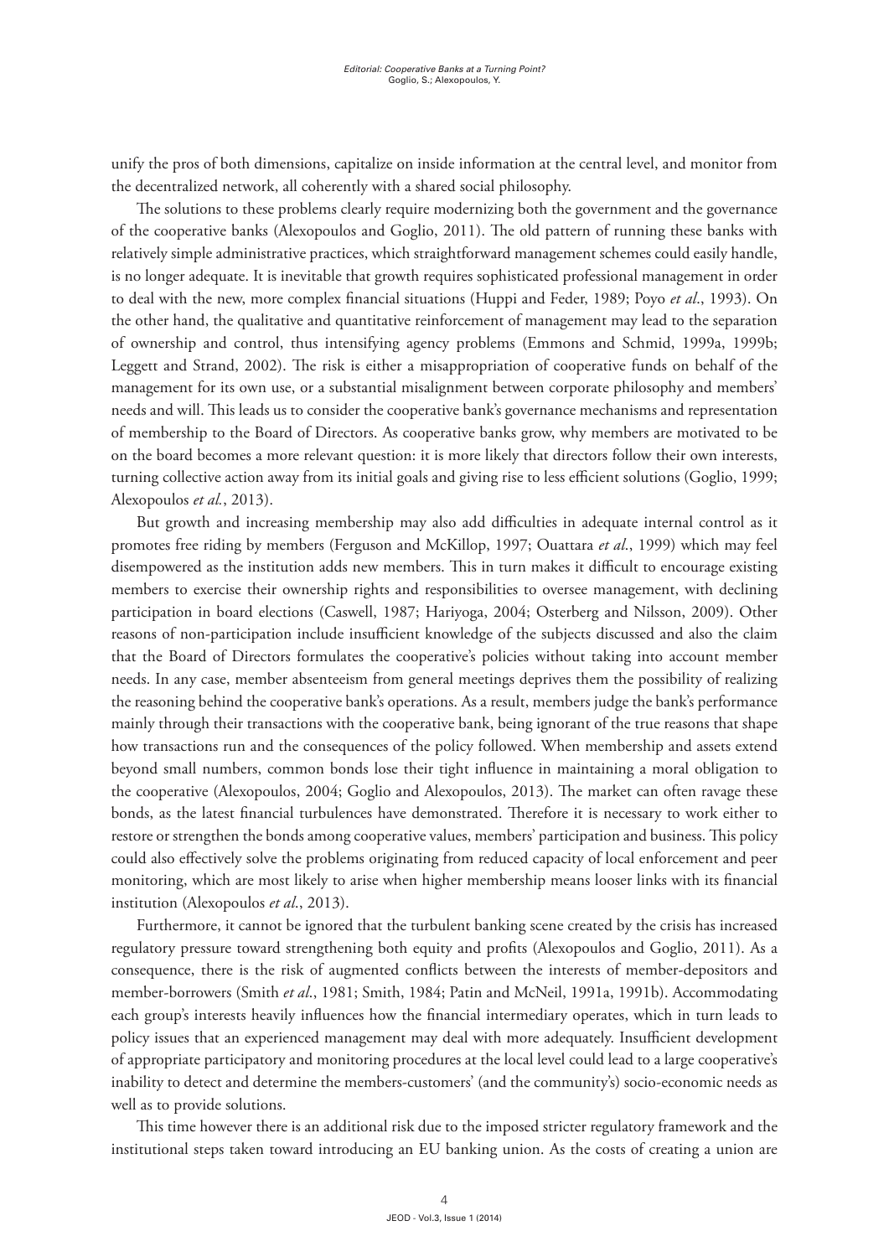unify the pros of both dimensions, capitalize on inside information at the central level, and monitor from the decentralized network, all coherently with a shared social philosophy.

The solutions to these problems clearly require modernizing both the government and the governance of the cooperative banks (Alexopoulos and Goglio, 2011). The old pattern of running these banks with relatively simple administrative practices, which straightforward management schemes could easily handle, is no longer adequate. It is inevitable that growth requires sophisticated professional management in order to deal with the new, more complex financial situations (Huppi and Feder, 1989; Poyo *et al*., 1993). On the other hand, the qualitative and quantitative reinforcement of management may lead to the separation of ownership and control, thus intensifying agency problems (Emmons and Schmid, 1999a, 1999b; Leggett and Strand, 2002). The risk is either a misappropriation of cooperative funds on behalf of the management for its own use, or a substantial misalignment between corporate philosophy and members' needs and will. This leads us to consider the cooperative bank's governance mechanisms and representation of membership to the Board of Directors. As cooperative banks grow, why members are motivated to be on the board becomes a more relevant question: it is more likely that directors follow their own interests, turning collective action away from its initial goals and giving rise to less efficient solutions (Goglio, 1999; Alexopoulos *et al.*, 2013).

But growth and increasing membership may also add difficulties in adequate internal control as it promotes free riding by members (Ferguson and McKillop, 1997; Ouattara *et al*., 1999) which may feel disempowered as the institution adds new members. This in turn makes it difficult to encourage existing members to exercise their ownership rights and responsibilities to oversee management, with declining participation in board elections (Caswell, 1987; Hariyoga, 2004; Osterberg and Nilsson, 2009). Other reasons of non-participation include insufficient knowledge of the subjects discussed and also the claim that the Board of Directors formulates the cooperative's policies without taking into account member needs. In any case, member absenteeism from general meetings deprives them the possibility of realizing the reasoning behind the cooperative bank's operations. As a result, members judge the bank's performance mainly through their transactions with the cooperative bank, being ignorant of the true reasons that shape how transactions run and the consequences of the policy followed. When membership and assets extend beyond small numbers, common bonds lose their tight influence in maintaining a moral obligation to the cooperative (Alexopoulos, 2004; Goglio and Alexopoulos, 2013). The market can often ravage these bonds, as the latest financial turbulences have demonstrated. Therefore it is necessary to work either to restore or strengthen the bonds among cooperative values, members' participation and business. This policy could also effectively solve the problems originating from reduced capacity of local enforcement and peer monitoring, which are most likely to arise when higher membership means looser links with its financial institution (Alexopoulos *et al*., 2013).

Furthermore, it cannot be ignored that the turbulent banking scene created by the crisis has increased regulatory pressure toward strengthening both equity and profits (Alexopoulos and Goglio, 2011). As a consequence, there is the risk of augmented conflicts between the interests of member-depositors and member-borrowers (Smith *et al*., 1981; Smith, 1984; Patin and McNeil, 1991a, 1991b). Accommodating each group's interests heavily influences how the financial intermediary operates, which in turn leads to policy issues that an experienced management may deal with more adequately. Insufficient development of appropriate participatory and monitoring procedures at the local level could lead to a large cooperative's inability to detect and determine the members-customers' (and the community's) socio-economic needs as well as to provide solutions.

This time however there is an additional risk due to the imposed stricter regulatory framework and the institutional steps taken toward introducing an EU banking union. As the costs of creating a union are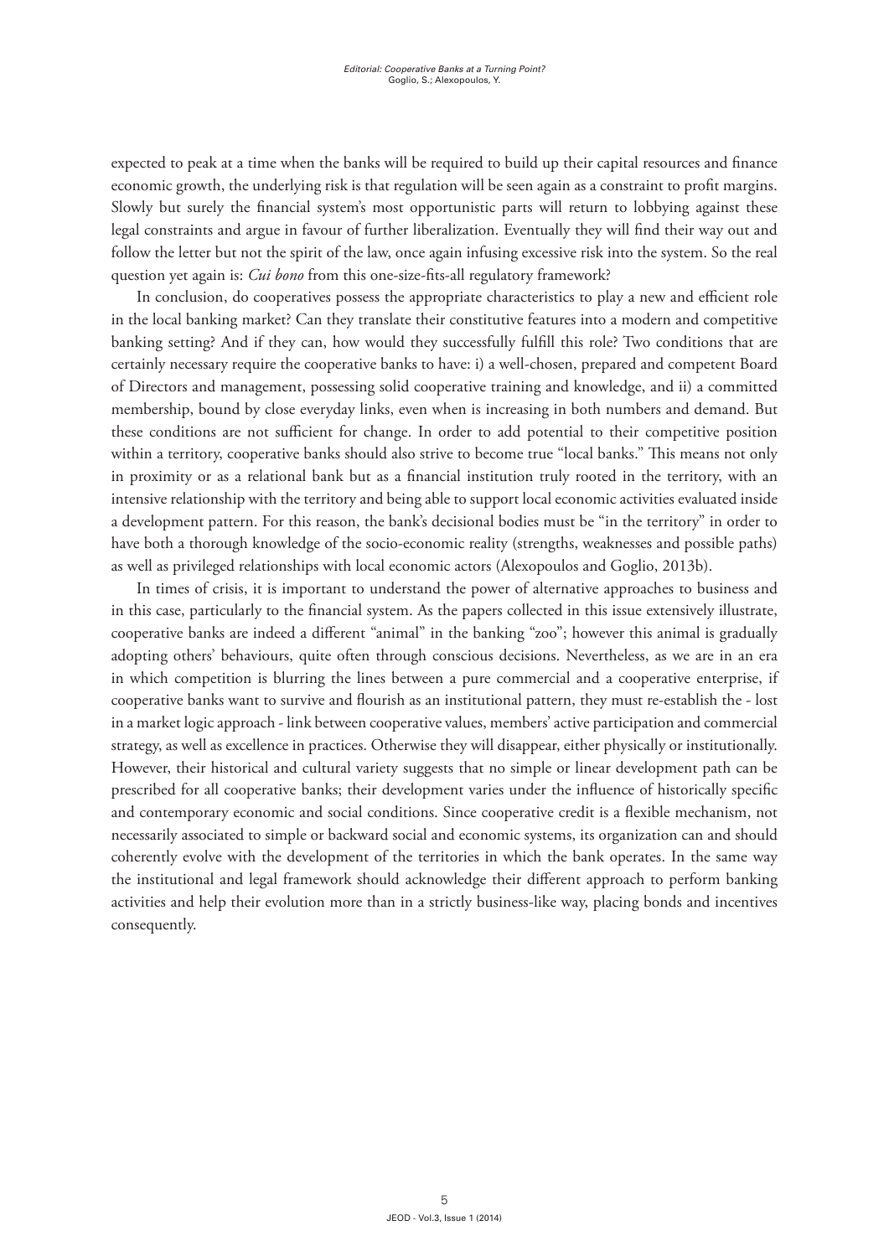expected to peak at a time when the banks will be required to build up their capital resources and finance economic growth, the underlying risk is that regulation will be seen again as a constraint to profit margins. Slowly but surely the financial system's most opportunistic parts will return to lobbying against these legal constraints and argue in favour of further liberalization. Eventually they will find their way out and follow the letter but not the spirit of the law, once again infusing excessive risk into the system. So the real question yet again is: *Cui bono* from this one-size-fits-all regulatory framework?

In conclusion, do cooperatives possess the appropriate characteristics to play a new and efficient role in the local banking market? Can they translate their constitutive features into a modern and competitive banking setting? And if they can, how would they successfully fulfill this role? Two conditions that are certainly necessary require the cooperative banks to have: i) a well-chosen, prepared and competent Board of Directors and management, possessing solid cooperative training and knowledge, and ii) a committed membership, bound by close everyday links, even when is increasing in both numbers and demand. But these conditions are not sufficient for change. In order to add potential to their competitive position within a territory, cooperative banks should also strive to become true "local banks." This means not only in proximity or as a relational bank but as a financial institution truly rooted in the territory, with an intensive relationship with the territory and being able to support local economic activities evaluated inside a development pattern. For this reason, the bank's decisional bodies must be "in the territory" in order to have both a thorough knowledge of the socio-economic reality (strengths, weaknesses and possible paths) as well as privileged relationships with local economic actors (Alexopoulos and Goglio, 2013b).

In times of crisis, it is important to understand the power of alternative approaches to business and in this case, particularly to the financial system. As the papers collected in this issue extensively illustrate, cooperative banks are indeed a different "animal" in the banking "zoo"; however this animal is gradually adopting others' behaviours, quite often through conscious decisions. Nevertheless, as we are in an era in which competition is blurring the lines between a pure commercial and a cooperative enterprise, if cooperative banks want to survive and flourish as an institutional pattern, they must re-establish the - lost in a market logic approach - link between cooperative values, members' active participation and commercial strategy, as well as excellence in practices. Otherwise they will disappear, either physically or institutionally. However, their historical and cultural variety suggests that no simple or linear development path can be prescribed for all cooperative banks; their development varies under the influence of historically specific and contemporary economic and social conditions. Since cooperative credit is a flexible mechanism, not necessarily associated to simple or backward social and economic systems, its organization can and should coherently evolve with the development of the territories in which the bank operates. In the same way the institutional and legal framework should acknowledge their different approach to perform banking activities and help their evolution more than in a strictly business-like way, placing bonds and incentives consequently.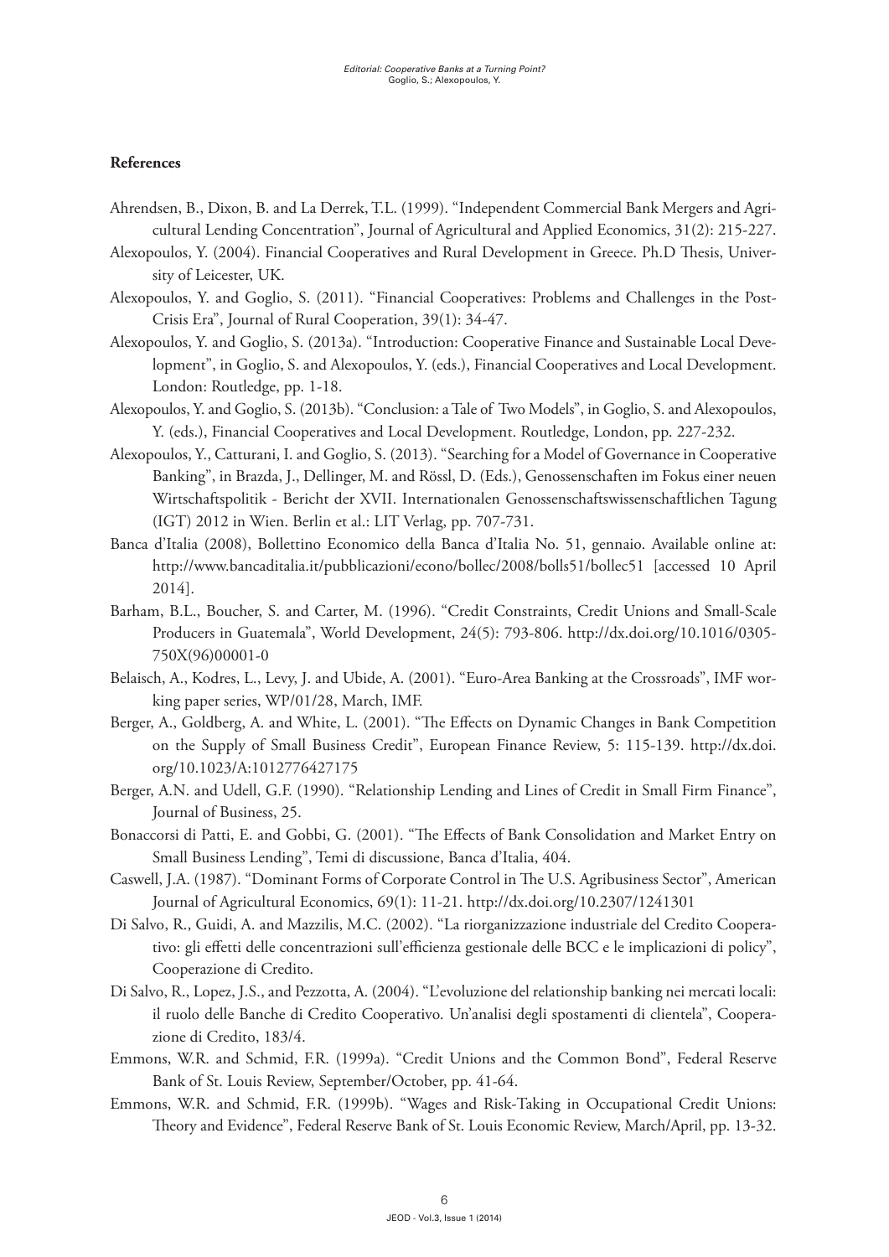## **References**

- Ahrendsen, B., Dixon, B. and La Derrek, T.L. (1999). "Independent Commercial Bank Mergers and Agricultural Lending Concentration", Journal of Agricultural and Applied Economics, 31(2): 215-227.
- Alexopoulos, Y. (2004). Financial Cooperatives and Rural Development in Greece. Ph.D Thesis, University of Leicester, UK.
- Alexopoulos, Y. and Goglio, S. (2011). "Financial Cooperatives: Problems and Challenges in the Post-Crisis Era", Journal of Rural Cooperation, 39(1): 34-47.
- Alexopoulos, Y. and Goglio, S. (2013a). "Introduction: Cooperative Finance and Sustainable Local Development", in Goglio, S. and Alexopoulos, Y. (eds.), Financial Cooperatives and Local Development. London: Routledge, pp. 1-18.
- Alexopoulos, Y. and Goglio, S. (2013b). "Conclusion: a Tale of Two Models", in Goglio, S. and Alexopoulos, Y. (eds.), Financial Cooperatives and Local Development. Routledge, London, pp. 227-232.
- Alexopoulos, Y., Catturani, I. and Goglio, S. (2013). "Searching for a Model of Governance in Cooperative Banking", in Brazda, J., Dellinger, M. and Rössl, D. (Eds.), Genossenschaften im Fokus einer neuen Wirtschaftspolitik - Bericht der XVII. Internationalen Genossenschaftswissenschaftlichen Tagung (IGT) 2012 in Wien. Berlin et al.: LIT Verlag, pp. 707-731.
- Banca d'Italia (2008), Bollettino Economico della Banca d'Italia No. 51, gennaio. Available online at: <http://www.bancaditalia.it/pubblicazioni/econo/bollec/2008/bolls51/bollec51>[accessed 10 April 2014].
- Barham, B.L., Boucher, S. and Carter, M. (1996). "Credit Constraints, Credit Unions and Small-Scale Producers in Guatemala", World Development, 24(5): 793-806. [http://dx.doi.org/10.1016/0305-](http://dx.doi.org/10.1016/0305-750X(96)00001-0) [750X\(96\)00001-0](http://dx.doi.org/10.1016/0305-750X(96)00001-0)
- Belaisch, A., Kodres, L., Levy, J. and Ubide, A. (2001). "Euro-Area Banking at the Crossroads", IMF working paper series, WP/01/28, March, IMF.
- Berger, A., Goldberg, A. and White, L. (2001). "The Effects on Dynamic Changes in Bank Competition on the Supply of Small Business Credit", European Finance Review, 5: 115-139. [http://dx.doi.](http://dx.doi.org/10.1023/A:1012776427175) [org/10.1023/A:1012776427175](http://dx.doi.org/10.1023/A:1012776427175)
- Berger, A.N. and Udell, G.F. (1990). "Relationship Lending and Lines of Credit in Small Firm Finance", Journal of Business, 25.
- Bonaccorsi di Patti, E. and Gobbi, G. (2001). "The Effects of Bank Consolidation and Market Entry on Small Business Lending", Temi di discussione, Banca d'Italia, 404.
- Caswell, J.A. (1987). "Dominant Forms of Corporate Control in The U.S. Agribusiness Sector", American Journal of Agricultural Economics, 69(1): 11-21. <http://dx.doi.org/10.2307/1241301>
- Di Salvo, R., Guidi, A. and Mazzilis, M.C. (2002). "La riorganizzazione industriale del Credito Cooperativo: gli effetti delle concentrazioni sull'efficienza gestionale delle BCC e le implicazioni di policy", Cooperazione di Credito.
- Di Salvo, R., Lopez, J.S., and Pezzotta, A. (2004). "L'evoluzione del relationship banking nei mercati locali: il ruolo delle Banche di Credito Cooperativo. Un'analisi degli spostamenti di clientela", Cooperazione di Credito, 183/4.
- Emmons, W.R. and Schmid, F.R. (1999a). "Credit Unions and the Common Bond", Federal Reserve Bank of St. Louis Review, September/October, pp. 41-64.
- Emmons, W.R. and Schmid, F.R. (1999b). "Wages and Risk-Taking in Occupational Credit Unions: Theory and Evidence", Federal Reserve Bank of St. Louis Economic Review, March/April, pp. 13-32.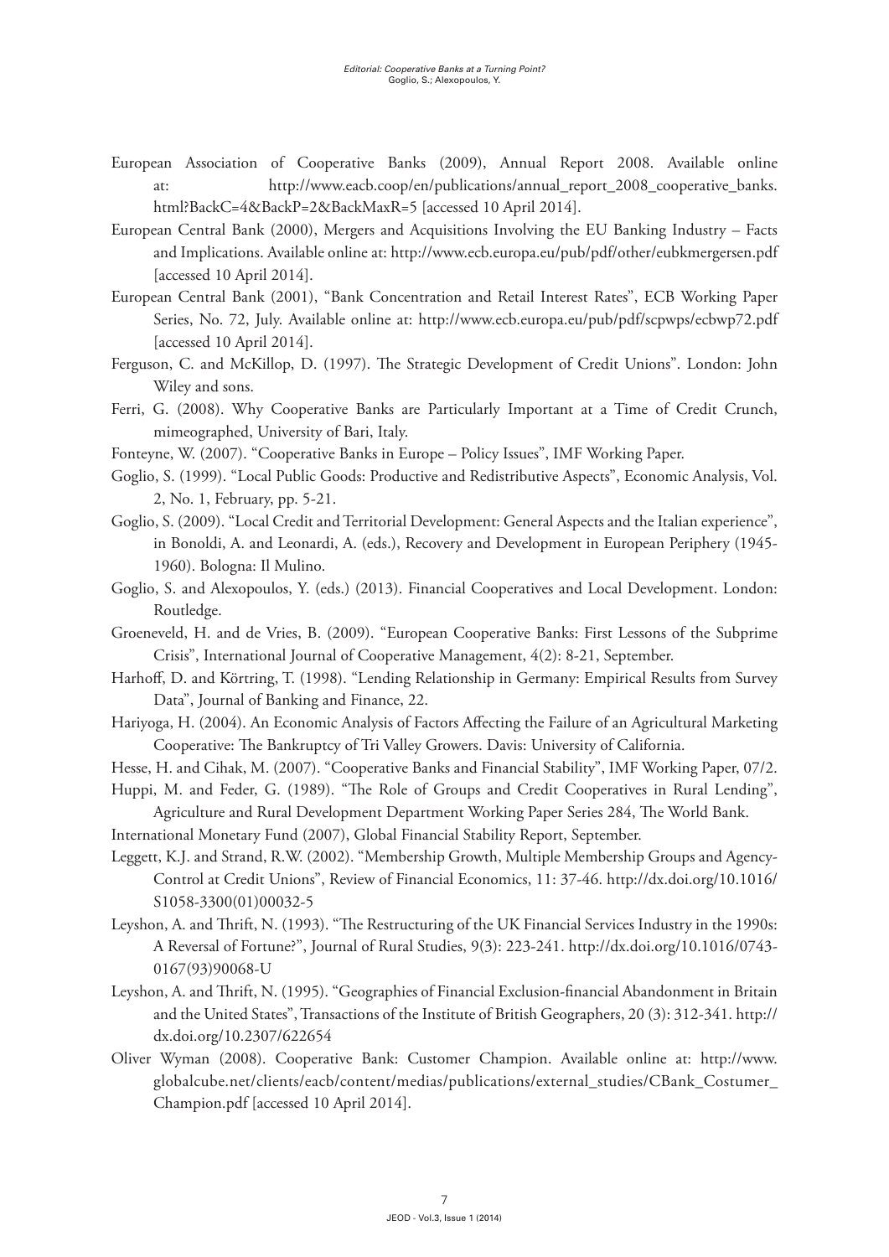- European Association of Cooperative Banks (2009), Annual Report 2008. Available online at: [http://www.eacb.coop/en/publications/annual\\_report\\_2008\\_cooperative\\_banks.](http://www.eacb.coop/en/publications/annual_report_2008_cooperative_banks.html?BackC=4&BackP=2&BackMaxR=5) [html?BackC=4&BackP=2&BackMaxR=5](http://www.eacb.coop/en/publications/annual_report_2008_cooperative_banks.html?BackC=4&BackP=2&BackMaxR=5) [accessed 10 April 2014].
- European Central Bank (2000), Mergers and Acquisitions Involving the EU Banking Industry Facts and Implications. Available online at:<http://www.ecb.europa.eu/pub/pdf/other/eubkmergersen.pdf> [accessed 10 April 2014].
- European Central Bank (2001), "Bank Concentration and Retail Interest Rates", ECB Working Paper Series, No. 72, July. Available online at: <http://www.ecb.europa.eu/pub/pdf/scpwps/ecbwp72.pdf> [accessed 10 April 2014].
- Ferguson, C. and McKillop, D. (1997). The Strategic Development of Credit Unions". London: John Wiley and sons.
- Ferri, G. (2008). Why Cooperative Banks are Particularly Important at a Time of Credit Crunch, mimeographed, University of Bari, Italy.
- Fonteyne, W. (2007). "Cooperative Banks in Europe Policy Issues", IMF Working Paper.
- Goglio, S. (1999). "Local Public Goods: Productive and Redistributive Aspects", Economic Analysis, Vol. 2, No. 1, February, pp. 5-21.
- Goglio, S. (2009). "Local Credit and Territorial Development: General Aspects and the Italian experience", in Bonoldi, A. and Leonardi, A. (eds.), Recovery and Development in European Periphery (1945- 1960). Bologna: Il Mulino.
- Goglio, S. and Alexopoulos, Y. (eds.) (2013). Financial Cooperatives and Local Development. London: Routledge.
- Groeneveld, H. and de Vries, B. (2009). "European Cooperative Banks: First Lessons of the Subprime Crisis", International Journal of Cooperative Management, 4(2): 8-21, September.
- Harhoff, D. and Körtring, T. (1998). "Lending Relationship in Germany: Empirical Results from Survey Data", Journal of Banking and Finance, 22.
- Hariyoga, H. (2004). [An Economic Analysis of Factors Affecting the Failure of an Agricultural Marketing](http://web.ebscohost.com/ehost/viewarticle?data=dGJyMPPp44rp2%2fdV0%2bnjisfk5Ie46a9Jsqa0TLCk63nn5Kx95uXxjL6nrke0pbBIrq%2beTbinr1Kxp55Zy5zyit%2fk8Xnh6ueH7N%2fiVbKntEy0rbNNtJzqeezdu33snOJ6u9vhhqTq33%2b7t8w%2b3%2bS7SLWrtE23qKR%2b7ejrefKz5I3q4vJ99uoA&hid=13)  [Cooperative: The Bankruptcy of Tri Valley Growers](http://web.ebscohost.com/ehost/viewarticle?data=dGJyMPPp44rp2%2fdV0%2bnjisfk5Ie46a9Jsqa0TLCk63nn5Kx95uXxjL6nrke0pbBIrq%2beTbinr1Kxp55Zy5zyit%2fk8Xnh6ueH7N%2fiVbKntEy0rbNNtJzqeezdu33snOJ6u9vhhqTq33%2b7t8w%2b3%2bS7SLWrtE23qKR%2b7ejrefKz5I3q4vJ99uoA&hid=13). Davis: University of California.
- Hesse, H. and Cihak, M. (2007). "Cooperative Banks and Financial Stability", IMF Working Paper, 07/2.
- Huppi, M. and Feder, G. (1989). "The Role of Groups and Credit Cooperatives in Rural Lending", Agriculture and Rural Development Department Working Paper Series 284, The World Bank.
- International Monetary Fund (2007), Global Financial Stability Report, September.
- Leggett, K.J. and Strand, R.W. (2002). "Membership Growth, Multiple Membership Groups and Agency-Control at Credit Unions", Review of Financial Economics, 11: 37-46. [http://dx.doi.org/10.1016/](http://dx.doi.org/10.1016/S1058-3300(01)00032-5) [S1058-3300\(01\)00032-5](http://dx.doi.org/10.1016/S1058-3300(01)00032-5)
- Leyshon, A. and Thrift, N. (1993). "The Restructuring of the UK Financial Services Industry in the 1990s: A Reversal of Fortune?", Journal of Rural Studies, 9(3): 223-241. [http://dx.doi.org/10.1016/0743-](http://dx.doi.org/10.1016/0743-0167(93)90068-U) [0167\(93\)90068-U](http://dx.doi.org/10.1016/0743-0167(93)90068-U)
- Leyshon, A. and Thrift, N. (1995). "Geographies of Financial Exclusion-financial Abandonment in Britain and the United States", Transactions of the Institute of British Geographers, 20 (3): 312-341. [http://](http://dx.doi.org/10.2307/622654) [dx.doi.org/10.2307/622654](http://dx.doi.org/10.2307/622654)
- Oliver Wyman (2008). Cooperative Bank: Customer Champion. Available online at: [http://www.](http://www.globalcube.net/clients/eacb/content/medias/publications/external_studies/CBank_Costumer_Champion.pdf) [globalcube.net/clients/eacb/content/medias/publications/external\\_studies/CBank\\_Costumer\\_](http://www.globalcube.net/clients/eacb/content/medias/publications/external_studies/CBank_Costumer_Champion.pdf) [Champion.pdf](http://www.globalcube.net/clients/eacb/content/medias/publications/external_studies/CBank_Costumer_Champion.pdf) [accessed 10 April 2014].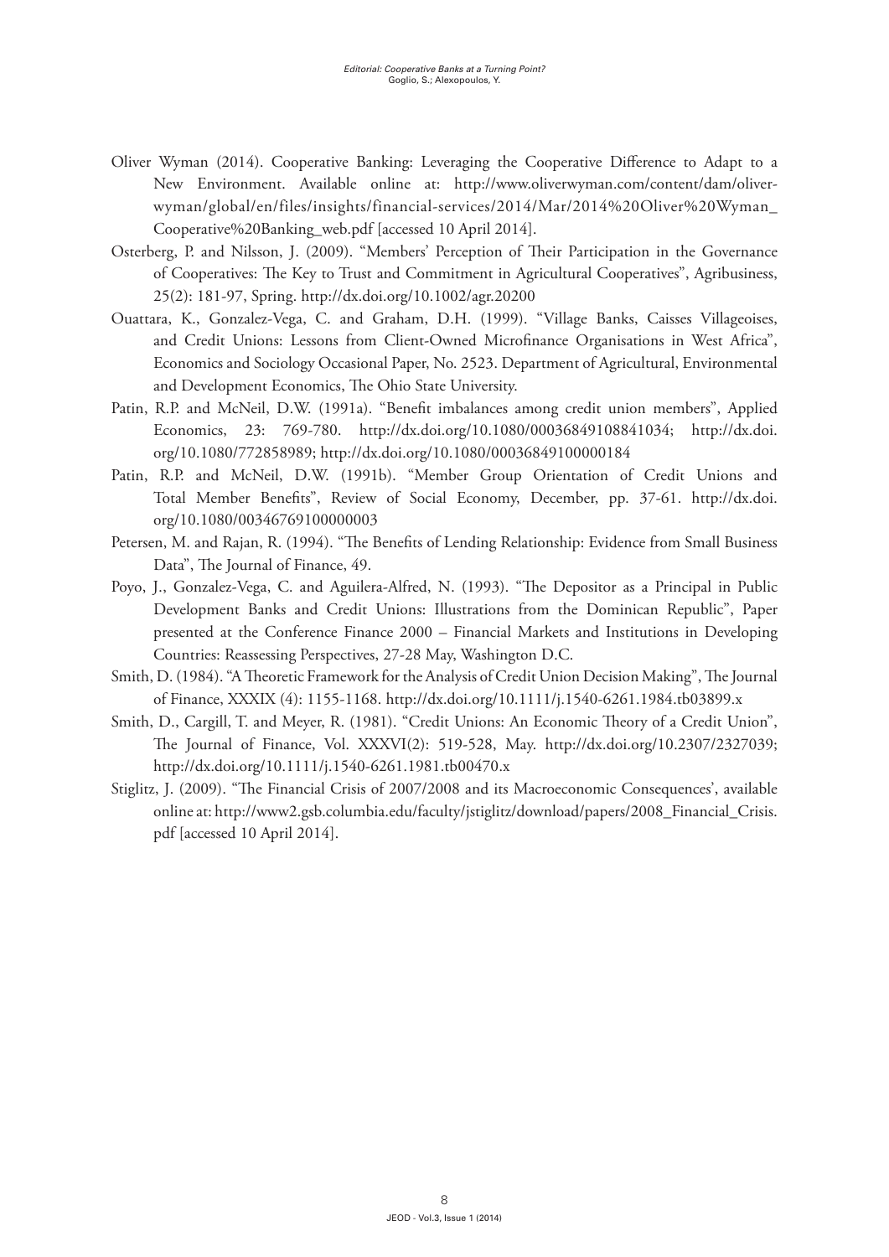- Oliver Wyman (2014). Cooperative Banking: Leveraging the Cooperative Difference to Adapt to a New Environment. Available online at: [http://www.oliverwyman.com/content/dam/oliver](http://www.oliverwyman.com/content/dam/oliver-wyman/global/en/files/insights/financial-services/2014/Mar/2014 Oliver Wyman_Cooperative Banking_web.pdf)[wyman/global/en/files/insights/financial-services/2014/Mar/2014%20Oliver%20Wyman\\_](http://www.oliverwyman.com/content/dam/oliver-wyman/global/en/files/insights/financial-services/2014/Mar/2014 Oliver Wyman_Cooperative Banking_web.pdf) [Cooperative%20Banking\\_web.pdf](http://www.oliverwyman.com/content/dam/oliver-wyman/global/en/files/insights/financial-services/2014/Mar/2014 Oliver Wyman_Cooperative Banking_web.pdf) [accessed 10 April 2014].
- Osterberg, P. and Nilsson, J. (2009). ["Members' Perception of Their Participation in the Governance](http://web.ebscohost.com/ehost/viewarticle?data=dGJyMPPp44rp2%2fdV0%2bnjisfk5Ie46a9Jsqa0TLCk63nn5Kx95uXxjL6nrke0pbBIrq%2beTbinr1Kxp55Zy5zyit%2fk8Xnh6ueH7N%2fiVbKntEy0rbNNtJzqeezdu33snOJ6u9vhhqTq33%2b7t8w%2b3%2bS7Sa6qsEyyqaR%2b7ejrefKz5I3q4vJ99uoA&hid=13)  [of Cooperatives: The Key to Trust and Commitment in Agricultural Cooperatives"](http://web.ebscohost.com/ehost/viewarticle?data=dGJyMPPp44rp2%2fdV0%2bnjisfk5Ie46a9Jsqa0TLCk63nn5Kx95uXxjL6nrke0pbBIrq%2beTbinr1Kxp55Zy5zyit%2fk8Xnh6ueH7N%2fiVbKntEy0rbNNtJzqeezdu33snOJ6u9vhhqTq33%2b7t8w%2b3%2bS7Sa6qsEyyqaR%2b7ejrefKz5I3q4vJ99uoA&hid=13), Agribusiness, 25(2): 181-97, Spring. <http://dx.doi.org/10.1002/agr.20200>
- Ouattara, K., Gonzalez-Vega, C. and Graham, D.H. (1999). "Village Banks, Caisses Villageoises, and Credit Unions: Lessons from Client-Owned Microfinance Organisations in West Africa", Economics and Sociology Occasional Paper, No. 2523. Department of Agricultural, Environmental and Development Economics, The Ohio State University.
- Patin, R.P. and McNeil, D.W. (1991a). "Benefit imbalances among credit union members", Applied Economics, 23: 769-780. [http://dx.doi.org/10.1080/00036849108841034;](http://dx.doi.org/10.1080/00036849108841034) [http://dx.doi.](http://dx.doi.org/10.1080/772858989) [org/10.1080/772858989](http://dx.doi.org/10.1080/772858989); <http://dx.doi.org/10.1080/00036849100000184>
- Patin, R.P. and McNeil, D.W. (1991b). "Member Group Orientation of Credit Unions and Total Member Benefits", Review of Social Economy, December, pp. 37-61. [http://dx.doi.](http://dx.doi.org/10.1080/00346769100000003) [org/10.1080/00346769100000003](http://dx.doi.org/10.1080/00346769100000003)
- Petersen, M. and Rajan, R. (1994). "The Benefits of Lending Relationship: Evidence from Small Business Data", The Journal of Finance, 49.
- Poyo, J., Gonzalez-Vega, C. and Aguilera-Alfred, N. (1993). "The Depositor as a Principal in Public Development Banks and Credit Unions: Illustrations from the Dominican Republic", Paper presented at the Conference Finance 2000 – Financial Markets and Institutions in Developing Countries: Reassessing Perspectives, 27-28 May, Washington D.C.
- Smith, D. (1984). "A Theoretic Framework for the Analysis of Credit Union Decision Making", The Journal of Finance, XXXIX (4): 1155-1168.<http://dx.doi.org/10.1111/j.1540-6261.1984.tb03899.x>
- Smith, D., Cargill, T. and Meyer, R. (1981). "Credit Unions: An Economic Theory of a Credit Union", The Journal of Finance, Vol. XXXVI(2): 519-528, May. <http://dx.doi.org/10.2307/2327039>; <http://dx.doi.org/10.1111/j.1540-6261.1981.tb00470.x>
- Stiglitz, J. (2009). "The Financial Crisis of 2007/2008 and its Macroeconomic Consequences', available online at: [http://www2.gsb.columbia.edu/faculty/jstiglitz/download/papers/2008\\_Financial\\_Crisis.](http://www2.gsb.columbia.edu/faculty/jstiglitz/download/papers/2008_Financial_Crisis.pdf) [pdf](http://www2.gsb.columbia.edu/faculty/jstiglitz/download/papers/2008_Financial_Crisis.pdf) [accessed 10 April 2014].